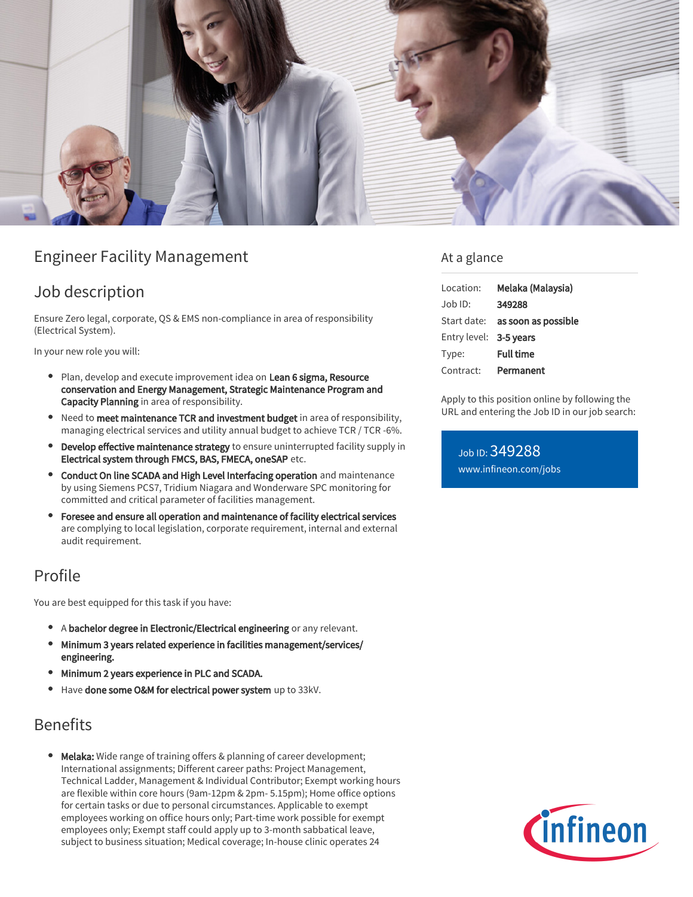

## Engineer Facility Management

## Job description

Ensure Zero legal, corporate, QS & EMS non-compliance in area of responsibility (Electrical System).

In your new role you will:

- Plan, develop and execute improvement idea on Lean 6 sigma, Resource conservation and Energy Management, Strategic Maintenance Program and Capacity Planning in area of responsibility.
- Need to meet maintenance TCR and investment budget in area of responsibility,  $\bullet$ managing electrical services and utility annual budget to achieve TCR / TCR -6%.
- **Develop effective maintenance strategy** to ensure uninterrupted facility supply in Electrical system through FMCS, BAS, FMECA, oneSAP etc.
- Conduct On line SCADA and High Level Interfacing operation and maintenance by using Siemens PCS7, Tridium Niagara and Wonderware SPC monitoring for committed and critical parameter of facilities management.
- Foresee and ensure all operation and maintenance of facility electrical services are complying to local legislation, corporate requirement, internal and external audit requirement.

## Profile

You are best equipped for this task if you have:

- A bachelor degree in Electronic/Electrical engineering or any relevant.
- Minimum 3 years related experience in facilities management/services/ engineering.
- Minimum 2 years experience in PLC and SCADA.
- Have done some O&M for electrical power system up to 33kV.

# Benefits

Melaka: Wide range of training offers & planning of career development; International assignments; Different career paths: Project Management, Technical Ladder, Management & Individual Contributor; Exempt working hours are flexible within core hours (9am-12pm & 2pm- 5.15pm); Home office options for certain tasks or due to personal circumstances. Applicable to exempt employees working on office hours only; Part-time work possible for exempt employees only; Exempt staff could apply up to 3-month sabbatical leave, subject to business situation; Medical coverage; In-house clinic operates 24

### At a glance

| Location:              | Melaka (Malaysia)                      |
|------------------------|----------------------------------------|
| $Job$ ID:              | 349288                                 |
|                        | Start date: <b>as soon as possible</b> |
| Entry level: 3-5 years |                                        |
| Type:                  | <b>Full time</b>                       |
| Contract:              | Permanent                              |

Apply to this position online by following the URL and entering the Job ID in our job search:

Job ID: 349288 [www.infineon.com/jobs](https://www.infineon.com/jobs)